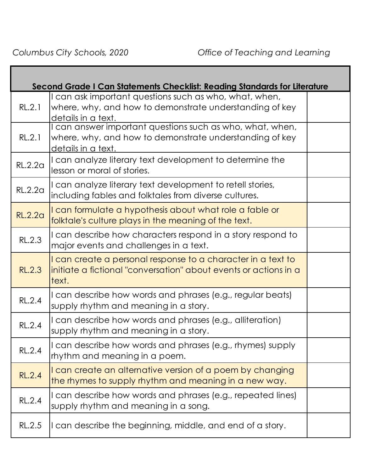|                | Second Grade I Can Statements Checklist: Reading Standards for Literature                                                                  |  |
|----------------|--------------------------------------------------------------------------------------------------------------------------------------------|--|
| RL.2.1         | I can ask important questions such as who, what, when,<br>where, why, and how to demonstrate understanding of key<br>details in a text.    |  |
| RL.2.1         | I can answer important questions such as who, what, when,<br>where, why, and how to demonstrate understanding of key<br>details in a text. |  |
| <b>RL.2.2a</b> | I can analyze literary text development to determine the<br>lesson or moral of stories.                                                    |  |
| RL.2.2a        | I can analyze literary text development to retell stories,<br>including fables and folktales from diverse cultures.                        |  |
| <b>RL.2.2a</b> | I can formulate a hypothesis about what role a fable or<br>folktale's culture plays in the meaning of the text.                            |  |
| RL.2.3         | I can describe how characters respond in a story respond to<br>major events and challenges in a text.                                      |  |
| <b>RL.2.3</b>  | I can create a personal response to a character in a text to<br>initiate a fictional "conversation" about events or actions in a<br>text.  |  |
| RL.2.4         | I can describe how words and phrases (e.g., regular beats)<br>supply rhythm and meaning in a story.                                        |  |
| <b>RL.2.4</b>  | I can describe how words and phrases (e.g., alliteration)<br>supply rhythm and meaning in a story.                                         |  |
| <b>RL.2.4</b>  | I can describe how words and phrases (e.g., rhymes) supply<br>rhythm and meaning in a poem.                                                |  |
| <b>RL.2.4</b>  | I can create an alternative version of a poem by changing<br>the rhymes to supply rhythm and meaning in a new way.                         |  |
| <b>RL.2.4</b>  | I can describe how words and phrases (e.g., repeated lines)<br>supply rhythm and meaning in a song.                                        |  |
| RL.2.5         | I can describe the beginning, middle, and end of a story.                                                                                  |  |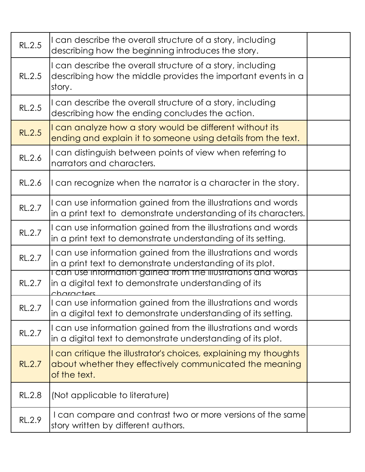| RL.2.5        | I can describe the overall structure of a story, including<br>describing how the beginning introduces the story.                            |  |
|---------------|---------------------------------------------------------------------------------------------------------------------------------------------|--|
| <b>RL.2.5</b> | I can describe the overall structure of a story, including<br>describing how the middle provides the important events in a<br>story.        |  |
| RL.2.5        | I can describe the overall structure of a story, including<br>describing how the ending concludes the action.                               |  |
| RL.2.5        | I can analyze how a story would be different without its<br>ending and explain it to someone using details from the text.                   |  |
| <b>RL.2.6</b> | I can distinguish between points of view when referring to<br>narrators and characters.                                                     |  |
| RL.2.6        | I can recognize when the narrator is a character in the story.                                                                              |  |
| RL.2.7        | I can use information gained from the illustrations and words<br>in a print text to demonstrate understanding of its characters.            |  |
| RL.2.7        | I can use information gained from the illustrations and words<br>in a print text to demonstrate understanding of its setting.               |  |
| RL.2.7        | I can use information gained from the illustrations and words<br>in a print text to demonstrate understanding of its plot.                  |  |
| RL.2.7        | I can use information gained from the illustrations and words<br>in a digital text to demonstrate understanding of its<br>characters        |  |
| <b>RL.2.7</b> | I can use information gained from the illustrations and words<br>in a digital text to demonstrate understanding of its setting.             |  |
| RL.2.7        | I can use information gained from the illustrations and words<br>in a digital text to demonstrate understanding of its plot.                |  |
| <b>RL.2.7</b> | I can critique the illustrator's choices, explaining my thoughts<br>about whether they effectively communicated the meaning<br>of the text. |  |
| <b>RL.2.8</b> | (Not applicable to literature)                                                                                                              |  |
| RL.2.9        | I can compare and contrast two or more versions of the same<br>story written by different authors.                                          |  |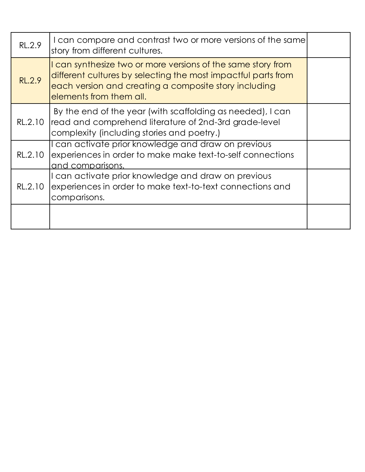| RL.2.9  | I can compare and contrast two or more versions of the same<br>story from different cultures.                                                                                                                     |  |
|---------|-------------------------------------------------------------------------------------------------------------------------------------------------------------------------------------------------------------------|--|
| RL.2.9  | I can synthesize two or more versions of the same story from<br>different cultures by selecting the most impactful parts from<br>each version and creating a composite story including<br>elements from them all. |  |
|         | By the end of the year (with scaffolding as needed), I can<br>RL.2.10 read and comprehend literature of 2nd-3rd grade-level<br>complexity (including stories and poetry.)                                         |  |
| RL.2.10 | I can activate prior knowledge and draw on previous<br>experiences in order to make make text-to-self connections<br>and comparisons.                                                                             |  |
| RL.2.10 | I can activate prior knowledge and draw on previous<br>experiences in order to make text-to-text connections and<br>comparisons.                                                                                  |  |
|         |                                                                                                                                                                                                                   |  |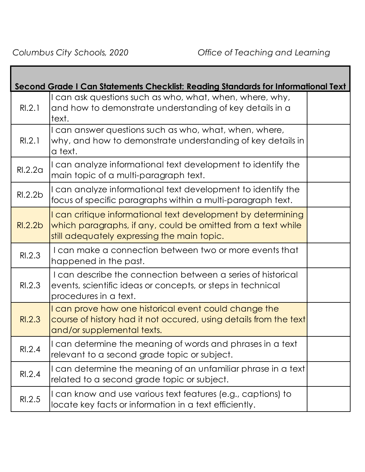|         | Second Grade I Can Statements Checklist: Reading Standards for Informational Text                                                                                           |  |
|---------|-----------------------------------------------------------------------------------------------------------------------------------------------------------------------------|--|
| RI.2.1  | I can ask questions such as who, what, when, where, why,<br>and how to demonstrate understanding of key details in a<br>text.                                               |  |
| RI.2.1  | I can answer questions such as who, what, when, where,<br>why, and how to demonstrate understanding of key details in<br>a text.                                            |  |
| RI.2.2a | I can analyze informational text development to identify the<br>main topic of a multi-paragraph text.                                                                       |  |
| RI.2.2b | I can analyze informational text development to identify the<br>focus of specific paragraphs within a multi-paragraph text.                                                 |  |
| R1.2.2b | I can critique informational text development by determining<br>which paragraphs, if any, could be omitted from a text while<br>still adequately expressing the main topic. |  |
| RI.2.3  | I can make a connection between two or more events that<br>happened in the past.                                                                                            |  |
| RI.2.3  | I can describe the connection between a series of historical<br>events, scientific ideas or concepts, or steps in technical<br>procedures in a text.                        |  |
| RI.2.3  | I can prove how one historical event could change the<br>course of history had it not occured, using details from the text<br>and/or supplemental texts.                    |  |
| RI.2.4  | I can determine the meaning of words and phrases in a text<br>relevant to a second grade topic or subject.                                                                  |  |
| RI.2.4  | I can determine the meaning of an unfamiliar phrase in a text<br>related to a second grade topic or subject.                                                                |  |
| RI.2.5  | I can know and use various text features (e.g., captions) to<br>locate key facts or information in a text efficiently.                                                      |  |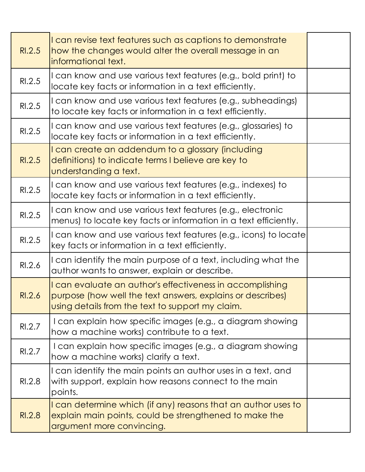| RI.2.5 | I can revise text features such as captions to demonstrate<br>how the changes would alter the overall message in an<br>informational text.                                  |  |
|--------|-----------------------------------------------------------------------------------------------------------------------------------------------------------------------------|--|
| RI.2.5 | I can know and use various text features (e.g., bold print) to<br>locate key facts or information in a text efficiently.                                                    |  |
| RI.2.5 | I can know and use various text features (e.g., subheadings)<br>to locate key facts or information in a text efficiently.                                                   |  |
| RI.2.5 | I can know and use various text features (e.g., glossaries) to<br>locate key facts or information in a text efficiently.                                                    |  |
| RI.2.5 | I can create an addendum to a glossary (including<br>definitions) to indicate terms I believe are key to<br>understanding a text.                                           |  |
| RI.2.5 | I can know and use various text features (e.g., indexes) to<br>locate key facts or information in a text efficiently.                                                       |  |
| RI.2.5 | I can know and use various text features (e.g., electronic<br>menus) to locate key facts or information in a text efficiently.                                              |  |
| RI.2.5 | I can know and use various text features (e.g., icons) to locate<br>key facts or information in a text efficiently.                                                         |  |
| RI.2.6 | I can identify the main purpose of a text, including what the<br>author wants to answer, explain or describe.                                                               |  |
| RI.2.6 | I can evaluate an author's effectiveness in accomplishing<br>purpose (how well the text answers, explains or describes)<br>using details from the text to support my claim. |  |
| RI.2.7 | I can explain how specific images (e.g., a diagram showing<br>how a machine works) contribute to a text.                                                                    |  |
| RI.2.7 | I can explain how specific images (e.g., a diagram showing<br>how a machine works) clarify a text.                                                                          |  |
| RI.2.8 | I can identify the main points an author uses in a text, and<br>with support, explain how reasons connect to the main<br>points.                                            |  |
| RI.2.8 | I can determine which (if any) reasons that an author uses to<br>explain main points, could be strengthened to make the<br>argument more convincing.                        |  |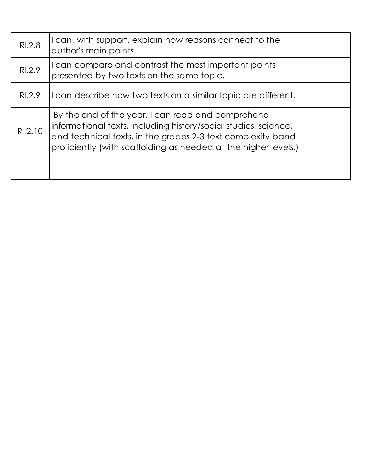| RI.2.8  | I can, with support, explain how reasons connect to the<br>author's main points.                                                                                                                                                                       |  |
|---------|--------------------------------------------------------------------------------------------------------------------------------------------------------------------------------------------------------------------------------------------------------|--|
| R1.2.9  | I can compare and contrast the most important points<br>presented by two texts on the same topic.                                                                                                                                                      |  |
| RI.2.9  | I can describe how two texts on a similar topic are different.                                                                                                                                                                                         |  |
| RI.2.10 | By the end of the year, I can read and comprehend<br>informational texts, including history/social studies, science,<br>and technical texts, in the grades 2-3 text complexity band<br>proficiently (with scaffolding as needed at the higher levels.) |  |
|         |                                                                                                                                                                                                                                                        |  |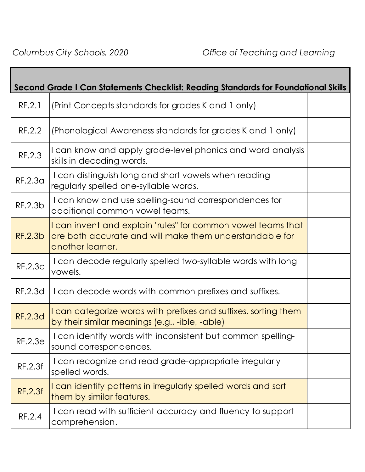| Second Grade I Can Statements Checklist: Reading Standards for Foundational Skills |                                                                                                                                             |  |
|------------------------------------------------------------------------------------|---------------------------------------------------------------------------------------------------------------------------------------------|--|
| RF.2.1                                                                             | (Print Concepts standards for grades K and 1 only)                                                                                          |  |
| RF.2.2                                                                             | (Phonological Awareness standards for grades K and 1 only)                                                                                  |  |
| RF.2.3                                                                             | I can know and apply grade-level phonics and word analysis<br>skills in decoding words.                                                     |  |
| RF.2.3a                                                                            | I can distinguish long and short vowels when reading<br>regularly spelled one-syllable words.                                               |  |
| RF.2.3b                                                                            | I can know and use spelling-sound correspondences for<br>additional common vowel teams.                                                     |  |
| <b>RF.2.3b</b>                                                                     | I can invent and explain "rules" for common vowel teams that<br>are both accurate and will make them understandable for<br>another learner. |  |
| <b>RF.2.3c</b>                                                                     | I can decode regularly spelled two-syllable words with long<br>vowels.                                                                      |  |
| RF.2.3d                                                                            | I can decode words with common prefixes and suffixes.                                                                                       |  |
| <b>RF.2.3d</b>                                                                     | I can categorize words with prefixes and suffixes, sorting them<br>by their similar meanings (e.g., -ible, -able)                           |  |
| <b>RF.2.3e</b>                                                                     | I can identify words with inconsistent but common spelling-<br>sound correspondences.                                                       |  |
| RF.2.3f                                                                            | I can recognize and read grade-appropriate irregularly<br>spelled words.                                                                    |  |
| <b>RF.2.3f</b>                                                                     | I can identify patterns in irregularly spelled words and sort<br>them by similar features.                                                  |  |
| RF.2.4                                                                             | I can read with sufficient accuracy and fluency to support<br>comprehension.                                                                |  |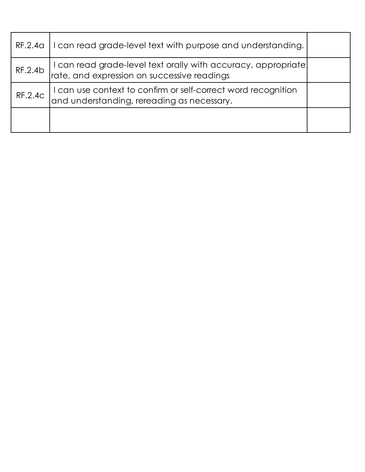| RF.2.4a        | I can read grade-level text with purpose and understanding.                                                  |  |
|----------------|--------------------------------------------------------------------------------------------------------------|--|
| RF.2.4b        | I can read grade-level text orally with accuracy, appropriate<br>rate, and expression on successive readings |  |
| <b>RF.2.4c</b> | I can use context to confirm or self-correct word recognition<br>and understanding, rereading as necessary.  |  |
|                |                                                                                                              |  |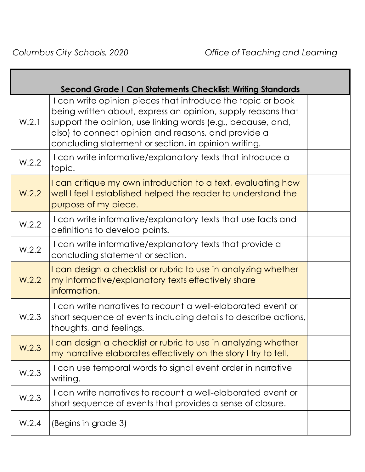Г

|       | <b>Second Grade I Can Statements Checklist: Writing Standards</b>                                                                                                                                                                                                                                         |  |
|-------|-----------------------------------------------------------------------------------------------------------------------------------------------------------------------------------------------------------------------------------------------------------------------------------------------------------|--|
| W.2.1 | I can write opinion pieces that introduce the topic or book<br>being written about, express an opinion, supply reasons that<br>support the opinion, use linking words (e.g., because, and,<br>also) to connect opinion and reasons, and provide a<br>concluding statement or section, in opinion writing. |  |
| W.2.2 | I can write informative/explanatory texts that introduce a<br>topic.                                                                                                                                                                                                                                      |  |
| W.2.2 | I can critique my own introduction to a text, evaluating how<br>well I feel I established helped the reader to understand the<br>purpose of my piece.                                                                                                                                                     |  |
| W.2.2 | I can write informative/explanatory texts that use facts and<br>definitions to develop points.                                                                                                                                                                                                            |  |
| W.2.2 | I can write informative/explanatory texts that provide a<br>concluding statement or section.                                                                                                                                                                                                              |  |
| W.2.2 | I can design a checklist or rubric to use in analyzing whether<br>my informative/explanatory texts effectively share<br>information.                                                                                                                                                                      |  |
| W.2.3 | I can write narratives to recount a well-elaborated event or<br>short sequence of events including details to describe actions,<br>thoughts, and feelings.                                                                                                                                                |  |
| W.2.3 | I can design a checklist or rubric to use in analyzing whether<br>my narrative elaborates effectively on the story I try to tell.                                                                                                                                                                         |  |
| W.2.3 | I can use temporal words to signal event order in narrative<br>writing.                                                                                                                                                                                                                                   |  |
| W.2.3 | I can write narratives to recount a well-elaborated event or<br>short sequence of events that provides a sense of closure.                                                                                                                                                                                |  |
| W.2.4 | (Begins in grade 3)                                                                                                                                                                                                                                                                                       |  |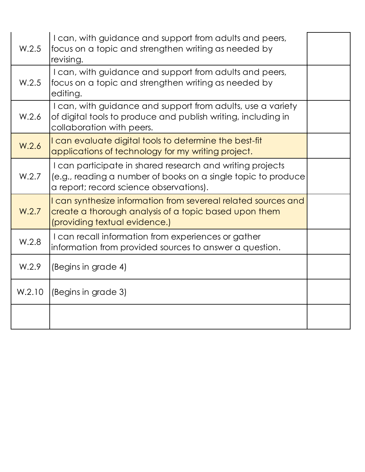| W.2.5  | I can, with guidance and support from adults and peers,<br>focus on a topic and strengthen writing as needed by<br>revising.                                          |  |
|--------|-----------------------------------------------------------------------------------------------------------------------------------------------------------------------|--|
| W.2.5  | I can, with guidance and support from adults and peers,<br>focus on a topic and strengthen writing as needed by<br>editing.                                           |  |
| W.2.6  | I can, with guidance and support from adults, use a variety<br>of digital tools to produce and publish writing, including in<br>collaboration with peers.             |  |
| W.2.6  | I can evaluate digital tools to determine the best-fit<br>applications of technology for my writing project.                                                          |  |
| W.2.7  | I can participate in shared research and writing projects<br>(e.g., reading a number of books on a single topic to produce<br>a report; record science observations). |  |
| W.2.7  | I can synthesize information from severeal related sources and<br>create a thorough analysis of a topic based upon them<br>(providing textual evidence.)              |  |
| W.2.8  | I can recall information from experiences or gather<br>information from provided sources to answer a question.                                                        |  |
| W.2.9  | (Begins in grade 4)                                                                                                                                                   |  |
| W.2.10 | (Begins in grade 3)                                                                                                                                                   |  |
|        |                                                                                                                                                                       |  |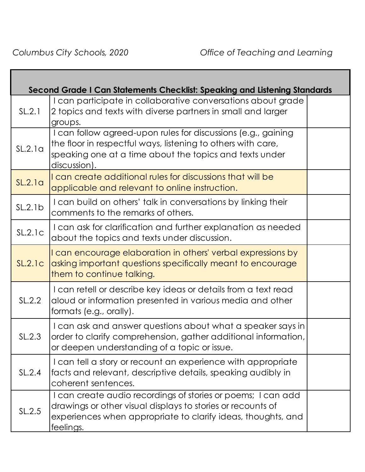|         | Second Grade I Can Statements Checklist: Speaking and Listening Standards                                                                                                                                |  |
|---------|----------------------------------------------------------------------------------------------------------------------------------------------------------------------------------------------------------|--|
| SL.2.1  | I can participate in collaborative conversations about grade<br>2 topics and texts with diverse partners in small and larger<br>groups.                                                                  |  |
| SL.2.1a | I can follow agreed-upon rules for discussions (e.g., gaining<br>the floor in respectful ways, listening to others with care,<br>speaking one at a time about the topics and texts under<br>discussion). |  |
| SL.2.1a | I can create additional rules for discussions that will be<br>applicable and relevant to online instruction.                                                                                             |  |
| SL.2.1b | I can build on others' talk in conversations by linking their<br>comments to the remarks of others.                                                                                                      |  |
| SL.2.1c | I can ask for clarification and further explanation as needed<br>about the topics and texts under discussion.                                                                                            |  |
| SL.2.1c | I can encourage elaboration in others' verbal expressions by<br>asking important questions specifically meant to encourage<br>them to continue talking.                                                  |  |
| SL.2.2  | I can retell or describe key ideas or details from a text read<br>aloud or information presented in various media and other<br>formats (e.g., orally).                                                   |  |
| SL.2.3  | I can ask and answer questions about what a speaker says in<br>order to clarify comprehension, gather additional information,<br>or deepen understanding of a topic or issue.                            |  |
| SL.2.4  | I can tell a story or recount an experience with appropriate<br>facts and relevant, descriptive details, speaking audibly in<br>coherent sentences.                                                      |  |
| SL.2.5  | I can create audio recordings of stories or poems; I can add<br>drawings or other visual displays to stories or recounts of<br>experiences when appropriate to clarify ideas, thoughts, and<br>feelings. |  |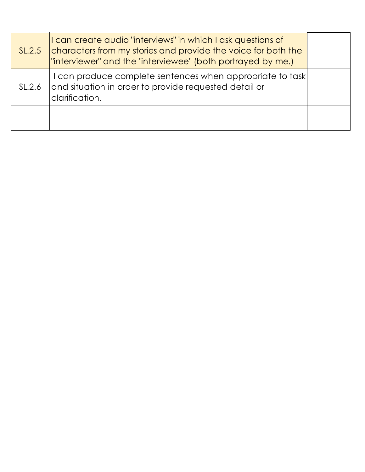| SL.2.5 | I can create audio "interviews" in which I ask questions of<br>characters from my stories and provide the voice for both the<br>Tinterviewer" and the "interviewee" (both portrayed by me.) |  |
|--------|---------------------------------------------------------------------------------------------------------------------------------------------------------------------------------------------|--|
| SL.2.6 | I can produce complete sentences when appropriate to task<br>and situation in order to provide requested detail or<br>clarification.                                                        |  |
|        |                                                                                                                                                                                             |  |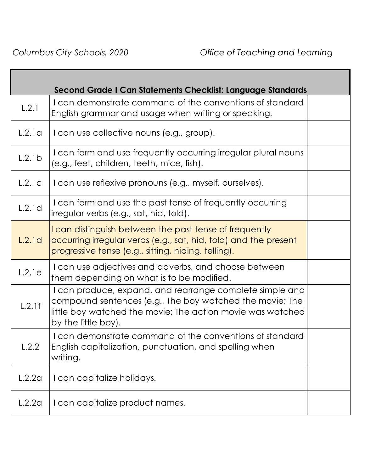|        | Second Grade I Can Statements Checklist: Language Standards                                                                                                                                               |  |
|--------|-----------------------------------------------------------------------------------------------------------------------------------------------------------------------------------------------------------|--|
| L.2.1  | I can demonstrate command of the conventions of standard<br>English grammar and usage when writing or speaking.                                                                                           |  |
| L.2.1a | I can use collective nouns (e.g., group).                                                                                                                                                                 |  |
| L.2.1b | I can form and use frequently occurring irregular plural nouns<br>(e.g., feet, children, teeth, mice, fish).                                                                                              |  |
| L.2.1c | I can use reflexive pronouns (e.g., myself, ourselves).                                                                                                                                                   |  |
| L.2.1d | I can form and use the past tense of frequently occurring<br>irregular verbs (e.g., sat, hid, told).                                                                                                      |  |
| L.2.1d | I can distinguish between the past tense of frequently<br>occurring irregular verbs (e.g., sat, hid, told) and the present<br>progressive tense (e.g., sitting, hiding, telling).                         |  |
| L.2.1e | I can use adjectives and adverbs, and choose between<br>them depending on what is to be modified.                                                                                                         |  |
| L.2.1f | I can produce, expand, and rearrange complete simple and<br>compound sentences (e.g., The boy watched the movie; The<br>little boy watched the movie; The action movie was watched<br>by the little boy). |  |
| L.2.2  | I can demonstrate command of the conventions of standard<br>English capitalization, punctuation, and spelling when<br>writing.                                                                            |  |
| L.2.2a | I can capitalize holidays.                                                                                                                                                                                |  |
| L.2.2a | I can capitalize product names.                                                                                                                                                                           |  |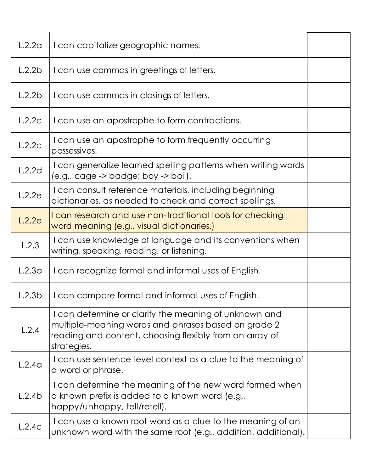| L.2.2a | I can capitalize geographic names.                                                                                                                                                     |  |
|--------|----------------------------------------------------------------------------------------------------------------------------------------------------------------------------------------|--|
| L.2.2b | I can use commas in greetings of letters.                                                                                                                                              |  |
| L.2.2b | I can use commas in closings of letters.                                                                                                                                               |  |
| L.2.2c | I can use an apostrophe to form contractions.                                                                                                                                          |  |
| L.2.2c | I can use an apostrophe to form frequently occurring<br>possessives.                                                                                                                   |  |
| L.2.2d | I can generalize learned spelling patterns when writing words<br>(e.g., cage -> badge; boy -> boil).                                                                                   |  |
| L.2.2e | I can consult reference materials, including beginning<br>dictionaries, as needed to check and correct spellings.                                                                      |  |
| L.2.2e | I can research and use non-traditional tools for checking<br>word meaning (e.g., visual dictionaries.)                                                                                 |  |
| L.2.3  | I can use knowledge of language and its conventions when<br>writing, speaking, reading, or listening.                                                                                  |  |
| L.2.3a | I can recognize formal and informal uses of English.                                                                                                                                   |  |
| L.2.3b | I can compare formal and informal uses of English.                                                                                                                                     |  |
| L.2.4  | I can determine or clarify the meaning of unknown and<br>multiple-meaning words and phrases based on grade 2<br>reading and content, choosing flexibly from an array of<br>strategies. |  |
| L.2.4a | I can use sentence-level context as a clue to the meaning of<br>a word or phrase.                                                                                                      |  |
| L.2.4b | I can determine the meaning of the new word formed when<br>a known prefix is added to a known word (e.g.,<br>happy/unhappy, tell/retell).                                              |  |
| L.2.4c | I can use a known root word as a clue to the meaning of an<br>unknown word with the same root (e.g., addition, additional).                                                            |  |